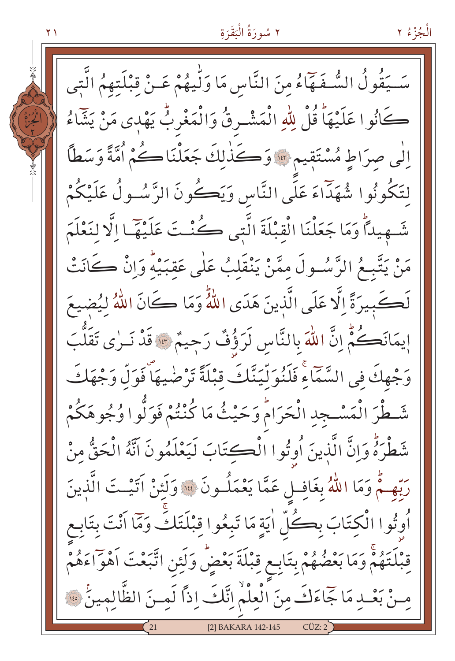٢ سُورَةُ الْبَقَرَةِ

سَــيَقُولُ السُّـفَـهَآءُ مِنَ النَّاسِ مَا وَلَّـيهُمْ عَـنْ قِبْلَتهمُ الَّتِي

كَانُوا عَلَيْهَا قُلْ لِلّهِ الْمَشْرِقُ وَالْمَغْرِبُّ يَهْدِي مَنْ يَشَاءُ

الٰي صرَاطِ مُسْتَقِيمٍ "وَكَذٰلِكَ جَعَلْنَاكُمْ أُمَّةً وَسَطاً

لتَكُونُوا شُهَدَّاءَ عَلَى النَّاسِ وَيَڪُونَ الرَّسُـولُ عَلَيْكُمْ

شَـهِيداً وَمَا جَعَلْنَا الْقَبْلَةَ الَّتِي كُنْتَ عَلَيْهَمَا إِلَّا لِنَعْلَمَ

مَنْ يَتَّبِعُ الرَّسُولَ مِمَّنْ يَنْقَلِبُ عَلٰى عَقبَيْهُ وَانْ كَانَتْ

لَكَجِيرَةً إِلَّا عَلَى الَّذِينَ هَدَى اللَّهُ وَمَا كَانَ اللَّهُ لِيُضِيعَ

إِيمَانَكُمُّ إِنَّ اللّٰهَ بِالنَّاسِ لَرَؤُفٌ رَجِيمٌ ۞ قَدْ نَـرٰى تَقَلَّبَ

وَجْهِكَ في السَّمَّاءِ فَلَنُوَلِّيَنَّكَ قَبْلَةً تَرْضٰيهَا فَوَلَّ وَجْهَكَ

شَطْرَ الْمَسْجِدِ الْحَرَامُ وَحَيْثُ مَا كُنْتُمْ فَوَلُّوا وُجُوهَكُمْ

شَطْرَهُ وَإِنَّ الَّذِينَ أُوتُوا الْكِتَابَ لَيَعْلَمُونَ آنَّهُ الْحَقُّ منْ

رَبِّهِمْ وَمَا اللَّهُ بِغَافِلٍ عَمَّا يَعْمَلُونَ ۞ وَلَئِنْ آتَيْتَ الَّذِينَ

أُوتُوا الْكِتَابَ بِكُلِّ اٰيَةٍ مَا تَبِعُوا قِبْلَتَكَ وَمَّا أَنْتَ بِتَابِعِ

قِبْلَتَهُمْ وَمَا بَعْضُهُمْ بِتَابِعٍ قِبْلَةَ بَعْضٌ وَلَئِنِ اتَّبَعْتَ اَهْوَاءَهُمْ

سْ بَعْبِ مَا جَمَاءَكَ مِنَ الْعِلْمُ اِنَّكَ إِذاً لَمِسْ الظَّالِمِينُ \*\*

[2] BAKARA 142-145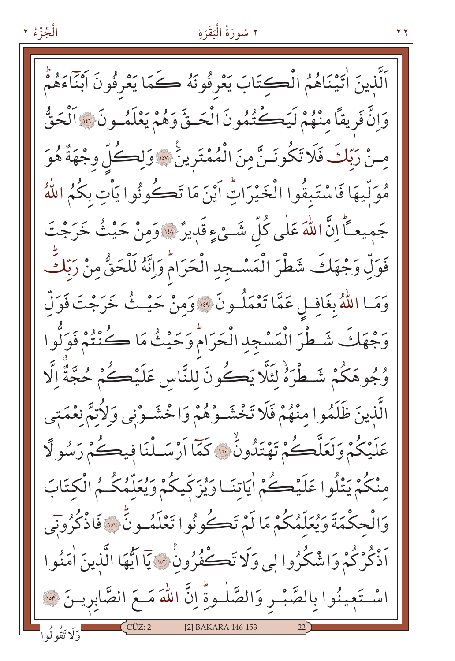## الْجُزْءُ ٢

# ٢ سُورَةُ الْبَقَرَةِ

اَلَّذِينَ اٰتَيْنَاهُمُ الْڪتَابَ يَعْرِفُونَهُ ڪَمَا يَعْرِفُونَ اَبْنَاءَهُمْ وَإِنَّ فَرِيقاً مِنْهُمْ لَيَكْتُمُونَ الْحَتَّى وَهُمْ يَعْلَمُ وِنَ قَدَّاأَلْحَقُّ مِنْ رَبّكَ فَلَا تَكُونَـنَّ مِنَ الْمُمْتَرِينَ \* وَلِكُلِّ وجْهَةٌ هُوَ مُوَلِّيهَا فَاسْتَبِقُوا الْخَيْرَاتِ أَيْنَ مَا تَكُونُوا يَأْتِ بِكُمُ اللَّهُ جَميعـَاً إِنَّ اللَّهَ عَلَى كُلِّ شَـئٍ ءٍ قَدِيرٌ ۞ وَمِنْ حَيْثُ خَرَجْتَ فَوَلِّ وَجْهَكَ شَطْرَ الْمَسْـجِدِ الْحَرَامُ وَإِنَّهُ لَلْحَقُّ مِنْ رَبِّكَ وَمَا اللَّهُ بِغَافِلٍ عَمَّا تَعْمَلُونَ ۞ وَمِنْ حَيْثُ خَرَجْتَ فَوَلِّ وَجْهَكَ شَطْرَ الْمَسْجِدِ الْحَرَامُ وَحَيْثُ مَا كُنْتُمْ فَوَلُّوا وُجُوهَكُمْ شَـطْرَهُٚ لَئَلَّا يَكُونَ للنَّاسِ عَلَيْكُمْ حُجَّةٌ إِلَّا الَّذينَ ظَلَمُوا منْهُمْ فَلَا تَخْشَـوْهُمْ وَاخْشَـوْنِي وَلِأَتِمَّ نِعْمَتِي عَلَيْكُمْ وَلَعَلَّكُمْ تَهْتَدُونُ \* كَمَّا أَرْسَـلْنَا فيكُمْ رَسُولًا منْكُمْ يَتْلُوا عَلَيْڪُمْ اٰيَاتِنَـا وَيُزَكِّيكُمْ وَيُعَلَّمُكُـمُ الْكِتَابَ وَالْحِكْمَةَ وَيُعَلَّمُكُمْ مَا لَمْ تَكُونُوا تَعْلَمُ وِنٍّ ۞ فَاذْكُرُونِي أَذْكُرْكُمْ وَاشْكُرُوا لِي وَلَا تَڪْفُرُونَ ۞ يَا أَيُّهَا الَّذِينَ اٰمَنُوا اسْتَعِينُوا بِالصَّبْـرِ وَالصَّلْـوةِّ إِنَّ اللَّهَ مَـعَ الصَّابِرِيـنَ ۞ [2] BAKARA 146-153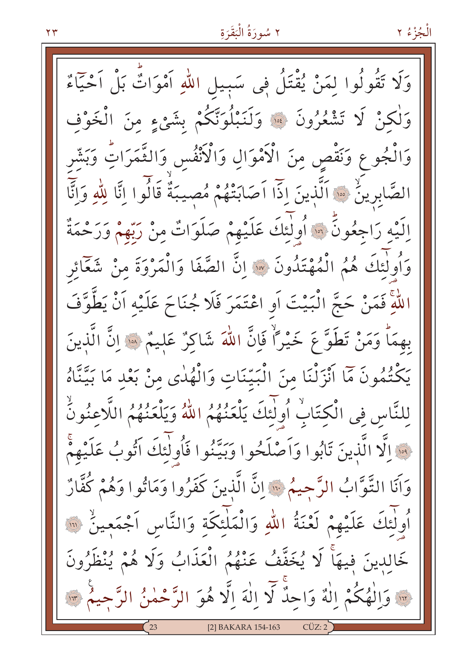وَلَا تَقُولُوا لِمَنْ يُقْتَلُ فِى سَبِيلِ اللهِ اَمْوَاتٌ بَلْ اَحْيَاءٌ وَلْكِنْ لَا تَشْعُرُونَ ۚ ۚ وَلَنَبْلُوَنَّكُمْ بِشَيْءٍ مِنَ الْخَوْفِ وَالْجُوعِ وَنَقْصِ مِنَ الْأَمْوَالِ وَالْأَنْفُسِ وَالثَّمَرَاتِ وَبَشَّر الصَّابِرِينٍّ ۞ اَلَّذِينَ إِذَا اَصَابَتْهُمْ مُصيبَةٌ قَالُوا إِنَّا لِلَّهِ وَإِنَّا الَيْهِ رَاجِعُونَ ۚ إِلَّا أُولَٰئِكَ عَلَيْهِمْ صَلَوَاتٌ مِنْ رَبِّهِمْ وَرَحْمَةٌ وَأُولٰئكَ هُمُ الْمُهْتَدُونَ ۞ إِنَّ الصَّفَا وَالْمَرْوَةَ مِنْ شَعَّائِر اللَّهِ فَمَنْ حَجَّ الْبَيْتَ أَوِ اعْتَمَرَ فَلَا جُنَاحَ عَلَيْهِ أَنْ يَطَّوَّفَ بهمَا وَمَنْ تَطَوَّعَ خَيْرًا فَإِنَّ اللَّهَ شَاكِرٌ عَليمٌ ۞ إِنَّ الَّذِينَ يَكْتُمُونَ مَمَّا أَنْزَلْنَا مِنَ الْبَيِّنَاتِ وَالْهُدٰى مِنْ بَعْدِ مَا بَيَّنَّاهُ لِلنَّاسِ فِي الْكِتَابُ أُولٰئِكَ يَلْعَنُهُمُ اللَّهُ وَيَلْعَنُهُمُ اللَّاعِنُونُّ . وَالَّا الَّذِينَ تَابُوا وَاَصْلَحُوا وَبَيِّنُوا فَأُولَٰئَكَ آَتُوبُ عَلَيْهِمْ وَآَنَا التَّوَّابُ الرَّحِيمُ ۚ إِنَّ الَّذِينَ كَفَرُوا وَمَاتُوا وَهُمْ كُفَّارٌ أُولٰئِكَ عَلَيْهِمْ لَعْنَةُ اللّهِ وَالْمَلْئِكَةِ وَالنَّاسِ اَجْمَعِينٌ ۚ لِلَّهِ خَالِدِينَ فِيهَا لَا يُخَفَّفُ عَنْهُمُ الْعَذَابُ وَلَا هُمْ يُنْظَرُونَ ..<br>.. وَالْهُكُمْ اِلْهٌ وَاحِدٌّ لَا اِلٰهَ اِلَّا هُوَ الرَّحْمٰنُ الرَّحِيمُ .. [2] BAKARA 154-163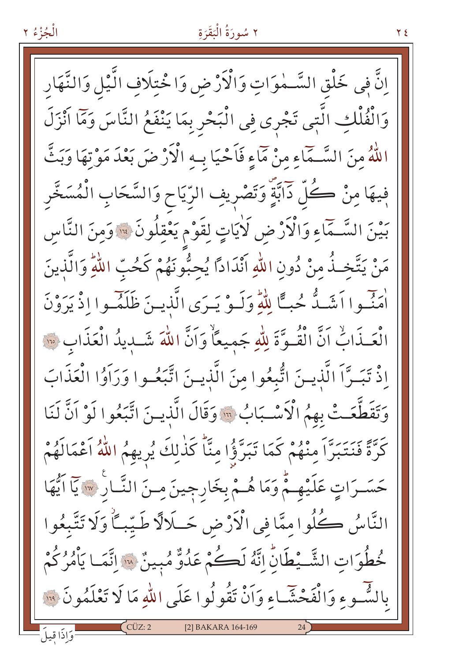اِنَّ فِي خَلْقِ السَّـمٰوَاتِ وَالْأَرْضِ وَاخْتِلَافِ الَّيْلِ وَالنَّهَارِ وَالْفُلْكِ الَّتِي تَجْرِي فِي الْبَحْرِ بِمَا يَنْفَعُ النَّاسَ وَمَا اَنْزَلَ اللَّهُ مِنَ السَّـمَاءِ مِنْ مَمَاءٍ فَاَحْيَا بِـهِ الْأَرْضَ بَعْدَ مَوْتِهَا وَبَثَّ فِيهَا مِنْ كُلِّ دَابَّةٍ وَتَصْرِيفِ الرَّيَاحِ وَالسَّحَابِ الْمُسَخَّرِ بَيْنَ السَّـمَّاءِ وَالْأَرْضِ لَأْيَاتٍ لِقَوْمٍ يَعْقِلُونَ ۞ وَمِنَ النَّاسِ مَنْ يَتَّخِـذُ مِنْ دُونِ اللّٰهِ أَنْدَادًا يُحِبُّونَهُمْ كَحُبِّ اللّٰهِ وَالَّذِينَ أُمَّنُوا أَشَـدُّ حُبًّا لِلّهِ وَلَـوْ يَـرَى الَّذِيـنَ ظَلَمَـوا إِذْ يَرَوْنَ الْعَـذَابِّ اَنَّ الْقُـوَّةَ لِلَّهِ جَميعًاْ وَاَنَّ اللَّهَ شَـديدُ الْعَذَابِ ۞ إِذْ تَبَـرَّا الَّذِيـنَ اتُّبِعُوا مِنَ الَّذِيـنَ اتَّبَعُـوا وَرَاَوُا الْعَذَابَ وَتَقَطَّعَتْ بِهِمُ الْأَسْبَابُ \* وَقَالَ الَّذِينَ اتَّبَعُوا لَوْ اَنَّ لَنَا كَرَّةً فَنَتَبَرَّا مِنْهُمْ كَمَا تَبَرَّؤُا مِنَّا كَذٰلِكَ يُرِيهِمُ اللَّهُ اَعْمَالَهُمْ حَسَـرَاتٍ عَلَيْهِـمْ وَمَا هُـمْ بِخَارِجِينَ مِـنَ النَّـارِ ۞ يَا اَيُّهَا النَّاسُ كُلُوا مِمَّا فِي الْأَرْضِ حَـلَالًا طَيِّبِـّاً وَلَا تَتَّبِعُوا خُطُوَاتِ الشَّـْطَانِّ إِنَّهُ لَكُمْ عَدُوٌّ مُبِينٌ « إِنَّمَا يَأْمُرُكُمْ بِالشَّـوءِ وَالْفَحْشَّـاءِ وَأَنْ تَقُولُوا عَلَى اللّهِ مَا لَا تَعْلَمُونَ ۚ لِلّهِ [2] BAKARA 164-169 وَاذَا قبيلَ

الْجُزْءُ ٢

۲ ٤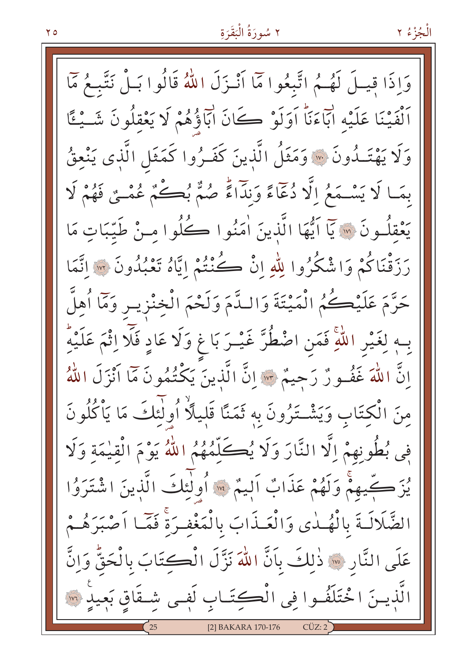الْجُزْءُ ٢

وَإِذَا قِيلَ لَهُـمُ اتَّبِعُوا مَّا أَنْـزَلَ اللَّهُ قَالُوا بَـلْ نَتَّبِـعُ مَّا أَلْفَيْنَا عَلَيْهِ ابَّاءَنَّا اَوَلَوْ كَانَ ابَّاؤُهُمْ لَا يَعْقِلُونَ شَـيْئًا وَلَا يَهْتَـدُونَ ۞ وَمَثَلُ الَّذينَ كَفَـرُوا كَمَثَلِ الَّذِى يَنْعِقُ بِمَا لَا يَسْمَعُ إِلَّا دُعَاءً وَنِدَاءً صُمٌّ بُڪُمٌ عُمْيٌ فَهُمْ لَا يَعْقُلُونَ ۞ يَآ اَيُّهَا الَّذينَ اٰمَنُوا كُلُوا مِنْ طَيِّبَاتٍ مَا رَزَقْنَاكُمْ وَاشْكُرُوا لِلّهِ إِنْ كُنْتُمْ إِيَّاهُ تَعْبُدُونَ ۞ إِتَّمَا حَرَّمَ عَلَيْكُمُ الْمَيْتَةَ وَاللَّهَمَ وَلَحْمَ الْخِنْزِيسِ وَمَآاُهلَّ بِـهٖ لِغَيْرِ اللَّهِ فَمَنِ اضْطُرَّ غَيْـرَ بَا غٍ وَلَا عَادِ فَلَّا اِثْمَ عَلَيْهِ إِنَّ اللَّهَ غَفُورٌ رَحِيمٌ \* إِنَّ الَّذِينَ يَكْتُمُونَ مَا أَنْزَلَ اللَّهُ مِنَ الْكِتَابِ وَيَشْتَرُونَ بِهِ ثَمَنًا قَلِيلًا أُولَٰئِكَ مَا يَأْكُلُونَ فِي بُطُونِهِمْ اِلَّا النَّارَ وَلَا يُكَلِّمُهُمُ اللَّهُ يَوْمَ الْقِيْمَةِ وَلَا يُزَكِّيهِمْ وَلَهُمْ عَذَابٌ أَلِيمٌ \* أُولٰئِكَ الَّذِينَ اشْتَرَوُا الضَّلَالَـةَ بِالْهُـلٰى وَالْعَـذَابَ بِالْمَغْفـرَةْ فَمَّـا اَصْبَرَهُـمْ عَلَى النَّارِ ۞ ذٰلِكَ بِأَنَّ اللَّهَ نَزَّلَ الْكَكِتَابَ بِالْحَقُّ وَإِنَّ الَّذينَ اخْتَلَفُوا فِي الْكِتَـابِ لَفِـي شِـقَاقٍ بَعِيدٍ ۞ [2] BAKARA 170-176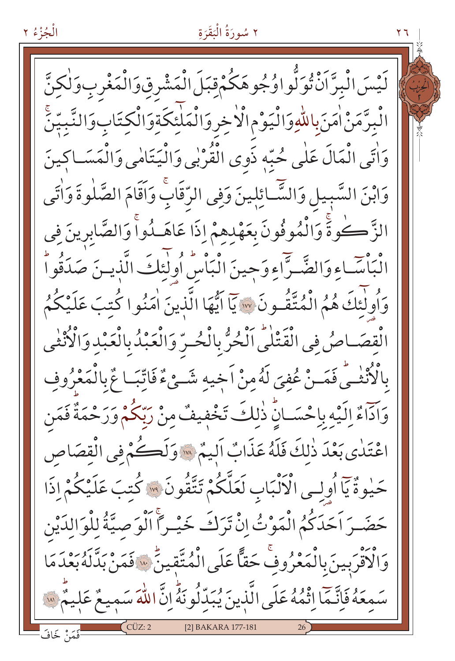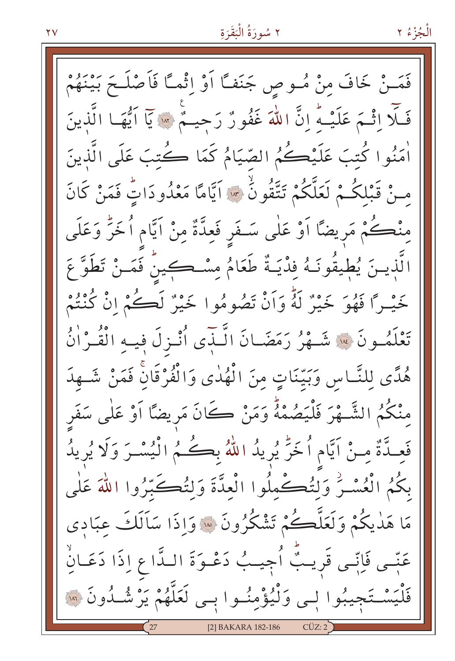الْجُزْءُ ٢

فَمَـنْ خَافَ مِنْ مُــوصِ جَنَفـًا اَوْ اِثْمـًا فَاَصْلَــٰٓ بَيْنَهُمْ فَلَّا اِثْمَ عَلَيْـهُ إِنَّ اللَّهَ غَفُورٌ رَحِيـمٌ ۚ إِلَّا اَيُّهَـا الَّذِينَ أَمَنُوا كُتبَ عَلَيْكُمُ الصِّيَامُ كَمَا كُتِبَ عَلَى الَّذِينَ منْ قَبْلِكُمْ لَعَلَّكُمْ تَتَّقُونُ ۚ ۞ اَيَّامًا مَعْدُودَاتٍّ فَمَنْ كَانَ مِنْڪُمْ مَريضًا اَوْ عَلٰى سَـفَر فَعِدَّةٌ مِنْ اَيَّام اُخَرُّ وَعَلَى الَّذِينَ يُطِيقُونَـهُ فِدْيَـةٌ طَعَامُ مِسْـڪِينٌ فَمَـنْ تَطَوَّ عَ خَيْـرًا فَهُوَ خَيْرٌ لَهُ وَأَنْ تَصُومُوا خَيْرٌ لَڪُمْ إِنْ كُنْتُمْ تَعْلَمُونَ ۞ شَـهْرُ رَمَضَـانَ الَّـذِّي أُنْـزِلَ فِيـهِ الْقُـرْاٰنُ هُدًى لِلنَّـاسِ وَبَيِّنَاتٍ مِنَ الْهُدٰى وَالْفُرْقَانَ فَمَنْ شَـهِدَ منْكُمُ الشَّـهْرَ فَلْيَصُمْهُ وَمَنْ كَانَ مَرِيضًا اَوْ عَلٰى سَفَر فَعِـدَّةٌ مِـنْ اَيَّام اُخَرَّ يُرِيدُ اللَّهُ بِكُـمُ الْيُسْـرَ وَلَا يُرِيدُ بِكُمُ الْعُسْنُ وَلِتُكُمْلُوا الْعِدَّةَ وَلِتُكَبِّرُوا اللَّهَ عَلَى مَا هَذِيكُمْ وَلَعَلَّكُمْ تَشْكُرُونَ ۞ وَإِذَا سَالَكَ عِبَادِي عَبِّـى فَإِنِّـى قَرِيبٌ أُجِيبُ دَعْـوَةَ الـدَّاعِ إِذَا دَعَـانُ یَسْتَجِیبُوا لٖے وَلْیُؤْمِنُوا بِے لَعَلَّهُمْ یَرْشُـٰدُونَ ۞ [2] BAKARA 182-186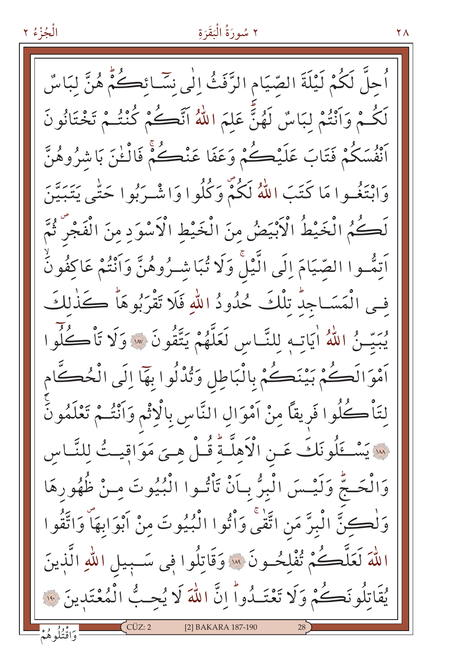اُحلَّ لَكُمْ لَيْلَةَ الصّيَامِ الرَّفَثُ الٰي نِسَائِكُمْ هُنَّ لِبَاسٌ لَكُـمْ وَاَنْتُمْ لِبَاسٌ لَهُنَّ عَلَّمَ اللَّهُ اَنَّكُمْ كُنْتُـمْ تَخْتَانُونَ أَنْفُسَكُمْ فَتَابَ عَلَيْكُمْ وَعَفَا عَنْڪُمْ فَالْـٰنَ بَاشْرُوهُنَّ وَابْتَغُـوا مَا كَتَبَ اللَّهُ لَكُمْٓ وَكُلُوا وَاشْـرَبُوا حَتّٰى يَتَبَيَّنَ لَكُمُ الْخَيْطُ الْأَبْيَضُ مِنَ الْخَيْطِ الْأَسْوَدِ مِنَ الْفَجْرَ ثُمَّ اَتِمُّـوا الصَّيَامَ الَّي الَّيْلَ وَلَا تُبَاشْـرُوهُنَّ وَاَنْتُمْ عَاكَفُونُّ في الْمَسَـاجِدٌ تِلْكَ حُدُودُ اللهِ فَلَا تَقْرَبُوهَاْ كَذَٰلكَ يُبَيِّنُ اللَّهُ أَيَاتِهِ لِلنَّاسِ لَعَلَّهُمْ يَتَّقُونَ \* وَلَا تَأْكُلُوا اَمْوَالَڪُمْ بَيْنَڪُمْ بِالْبَاطِلِ وَتُذْلُوا بِهَا إِلَى الْحُڪَّامِ لِتَأْكُلُوا فَرِيقاً مِنْ اَمْوَالِ النَّاسِ بِالْإِثْمِ وَاَنْتُـمْ تَعْلَمُونَّ لِسَنَ يَسْتَلُونَكَ عَـنِ الْأَهِلَّـةِ قُـلْ هِـيَ مَوَاقِيـتُ لِلنَّـاسِ وَالْحَـجّْ وَلَيْـسَ الْبِرُّ بِـأَنْ تَأْتُـوا الْبُيُوتَ مـنْ ظُهُورِهَا وَلْكِنَّ الْبِرَّ مَنِ اتَّقْى وَأْتُوا الْبُيُوتَ مِنْ أَبْوَابِهَا وَاتَّقُوا اللَّهَ لَعَلَّكُمْ تُفْلِحُـونَ ۞ وَقَاتِلُوا فِي سَـبِيلِ اللَّهِ الَّذِينَ يُقَاتِلُونَكُمْ وَلَا تَعْتَـٰدُواْ إِنَّ اللَّهَ لَا يُحِبُّ الْمُعْتَدِينَ ۞ ۔<br>وَاقْتُلُوهُمْ [2] BAKARA 187-190

الْجُزْءُ ٢

۲ ۸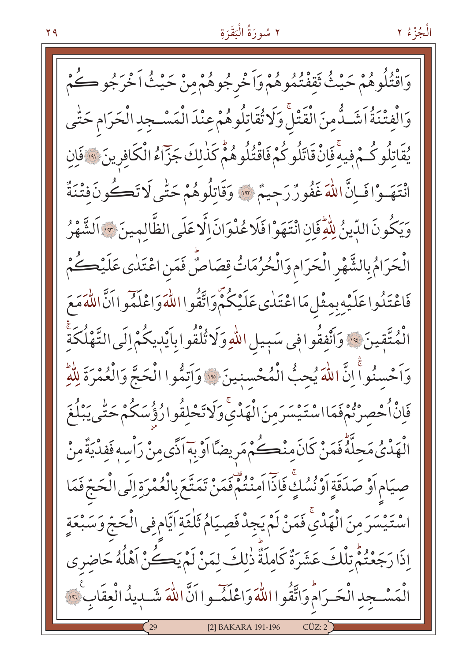الْجُزْءُ ٢

وَاقْتُلُوهُمْ حَيْثُ تَقِفْتُمُوهُمْ وَاَخْرِجُوهُمْ مِنْ حَيْثُ اَخْرَجُو ڪُمْ وَالْفِتْنَةُ اَشَـدُّمنَ الْقَتْلَ وَلَا تُقَاتِلُوهُمْ عِنْدَ الْمَسْـجِدِ الْحَرَامِ حَتّٰى يُقَاتِلُوكُمْ فِيهِ فَإِنْ قَاتَلُوكُمْ فَاقْتُلُوهُمْ كَذٰلِكَ جَزّاءُ الْكَافِرِينَ ﴾ فَإِنِ انْتَهَـوْافَـانَّ اللّهَ غَفُورٌ رَحِيمٌ \* وَقَاتِلُوهُمْ حَتّٰى لَا تَكُونَ فِتْنَةٌ وَيَكُونَ الدِّينُ لِلْهِ فَإِنِ انْتَهَوْ افَلَا عُدْوَانَ إِلَّا عَلَى الظَّالِمِينَ \* اَلشَّهْرُ الْحَرَامُ بِالشَّهْرِ الْحَرَامِ وَالْحُرُمَاتُ قِصَاصٌّ فَمَنِ اعْتَلٰى عَلَيْكُمْ فَاعْتَلُوا عَلَيْهِ بِمِثْلِ مَااعْتَلٰى عَلَيْكُمْ وَاتَّقُوا اللَّهَ وَاعْلَمُوا اَنَّ اللَّهَ مَعَ الْمُتَّقِينَ ﴾ وَأَنْفِقُوا فِي سَبِيلِ اللّهِ وَلَا تُلْقُوا بِأَيْدِيكُمْ إِلَى التَّهْلُكَةِ وَاَحْسِنُواَۚ إِنَّ اللَّهَ يُحِبُّ الْمُحْسِنِينَ \* وَاَتِمُّوا الْحَجَّ وَالْعُمْرَةَ لِلَّهِ فَاِنْ اُحْصِرْتُمْفَمَااسْتَيْسَرَمِنَ الْهَدْيَّ وَلَاتَحْلِقُوارُؤُسَكُمْ حَتّٰى يَبْلُغَ الْهَدْيُ مَحلَّهُ فَمَنْ كَانَ منْكُمْ مَرِيضًا اَوْ بِهَ اَذًى مِنْ رَاْسِهِ فَفِدْيَةٌ مِنْ صيَام أَوْ صَدَقَةٍ أَوْ نُسُكٍ فَإِذَا أَمِنْتُمْ فَمَنْ تَمَتَّعَ بِالْعُمْرَةِ إِلَى الْحَجّ فَمَا اسْتَيْسَرَمِنَ الْهَدْيِّ فَمَنْ لَمْ يَجِدْ فَصِيَامُ ثَلْقَةِ اَيَّامِ فِي الْحَجّ وَسَبْعَةٍ اذَا رَجَعْتُمّْ تِلْكَ عَشَرَةٌ كَامِلَةٌ ذٰلِكَ لِمَنْ لَمْ يَكُنْ أَهْلُهُ حَاضِرِي الْمَسْجِدِ الْحَيرَامُ وَاتَّقُوا اللَّهَ وَاعْلَمُ وا اَنَّ اللَّهَ شَبْدِيدُ الْعِقَابِ ۚ ۞ [2] BAKARA 191-196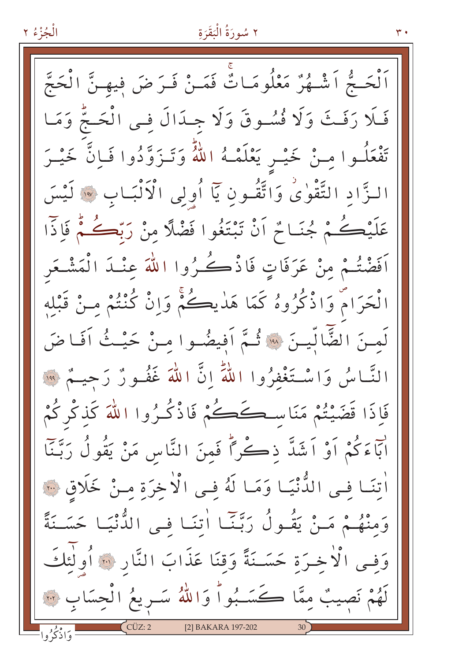اَلْحَـجُّ اَشْـهُرٌّ مَعْلُومَـاتٌّ فَمَـنْ فَـرَضَ فيهـنَّ الْحَجَّ فَلَا رَفَتْ وَلَا فُسُوقَ وَلَا جِبَدَالَ فِي الْحَجُّ وَمَا تَفْعَلُـوا مِـنْ خَيْـرِ يَعْلَمْـهُ اللّهُ وَتَـزَوَّدُوا فَـاِنَّ خَيْـرَ الزَّادِ التَّقْوٰىُ وَاتَّقُونِ يَآ أُولِى الْأَلْبَـابِ ۞ لَيْسَ عَلَيْكُمْ جُنَـامٌ أَنْ تَبْتَغُوا فَضْلًا مِنْ رَبِّكُمْ فَإِذَّا اَفَضْتُمْ مِنْ عَرَفَاتٍ فَاذْكُرُوا اللَّهَ عِنْـدَ الْمَشْـعَر الْحَرَامْ وَاذْكُرُوهُ كَمَا هَدٰيڪُمْ وَاِنْ كُنْتُمْ مـنْ قَبْله لَمـنَ الضَّالِّيـنَ ۞ ثُـمَّ أَفِيضُـوا مِـنْ حَيْـثُ أَفَـاضَ النَّاسُ وَاسْتَغْفِرُوا اللَّهَ إِنَّ اللَّهَ غَفُورٌ رَحِيمٌ ۚ ۚ " فَإِذَا قَضَيْتُمْ مَنَاسِكَكُمْ فَاذْكُرُوا اللَّهَ كَذِكْرٌ كُمْ أَبَاءَكُمْ أَوْ أَشَدَّ ذِكْراً فَمِنَ النَّاسِ مَنْ يَقُولُ رَبَّنَا اٰتِنَـا فِـى الدُّّنْيَـا وَمَـا لَهُ فِـى الْاٰخِرَة مِـنْ خَلَاقٍ ٣٠ وَمِنْهُـمْ مَـنْ يَقُـولُ رَبِّنَـا اٰتِنَـا فِـي الدُّنْيَـا حَسَـنَةً وَفِـى الْأَخِـرَةِ حَسَـنَةً وَقِنَا عَذَابَ النَّارِ ۞ أُولَٰئِكَ لَهُمْ نَصِيبٌ مِمَّا كَسَـبُواْ وَاللَّهُ سَـرِيعُ الْحِسَابِ ۞ [2] BAKARA 197-202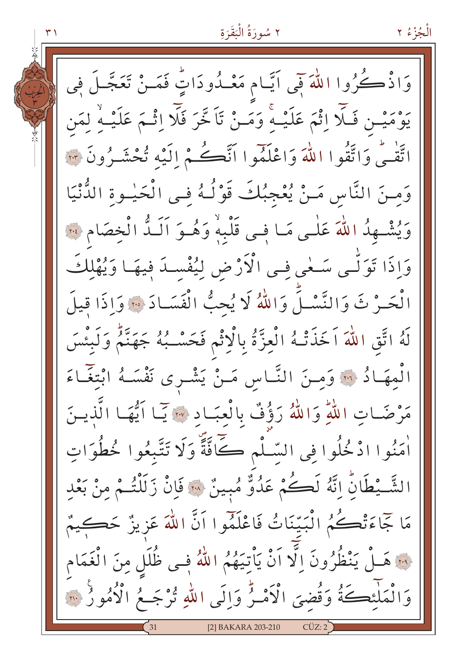٢ سُورَةُ الْبَقَرَةِ الْجُزْءُ ٢ وَاذْكُرُوا اللَّهَ فَمِي آيَّـام مَعْـدُودَاتٍّ فَمَـنْ تَعَجَّـلَ فِي يَوْمَيْـن فَـلَّا اِثْمَ عَلَيْــهِ ۚ وَمَــنْ تَاَخَّرَ فَلَّا اِثْـمَ عَلَيْــهِ ۙ لِمَن اتَّقْبَى وَاتَّقُوا اللَّهَ وَاعْلَمُوا اَنَّكُمْ إِلَيْهِ تُحْشَيرُونَ ۞ وَمِـنَ النَّاسِ مَـنْ يُعْجِبُكَ قَوْلُـهُ فِـى الْحَيْـوةِ الدُّنْيَا وَيُشْهِدُ اللَّهَ عَلَى مَا في قَلْبِهْ وَهُوَ أَلَـدُّ الْخصَامِ لِنَّهَ وَإِذَا تَوَلُّمِي سَعْيٍ فِي الْأَرْضِ لِيُفْسِدَ فِيهَا وَيُهْلِكَ الْحَـرْ ثَ وَالنَّسْلَ وَاللَّهُ لَا يُحِبُّ الْفَسَـادَ ۞ وَاذَا قيلَ لَهُ اتَّقِ اللَّهَ اَخَذَتْهُ الْعِزَّةُ بِالْإِثْمِ فَحَسْـبُهُ جَهَنَّمٌ وَلَبِئْسَ الْمِهَـادُ ۞ وَمِـنَ النَّـاسِ مَـنْ يَشْـرى نَفْسَـهُ ابْتِغَـاءَ مَرْضَاتِ اللَّهِ وَاللَّهُ رَؤُفٌ بِالْعِبَـادِ ۞ يَبَا اَيُّهَـا الَّذِيـنَ اْمَنُوا ادْخُلُوا فِي السَّلْمِ كَافَّةً وَلَا تَتَّبِعُوا خُطُوَاتِ الشَّـبْطَانِّ إِنَّهُ لَكُمْ عَدُوٌّ مُبِينٌ ۞ فَإِنْ زَلَلْتُـمْ مِنْ بَعْدِ مَا جَمَاءَتْكُمُ الْبَيِّنَاتُ فَاعْلَمُوا اَنَّ اللَّهَ عَزِيزٌ حَكِيمٌ ... هَــلْ يَنْظُرُونَ اِلَّا اَنْ يَأْتِيَهُمُ اللَّهُ فِــى ظُلَلٍ مِنَ الْغَمَام وَالْمَلْئِكَةُ وَقُضىَ الْأَمْـرُّ وَاِلَى اللّهِ تُرْجَـعُ الْأُمُورُ ۞ [2] BAKARA 203-210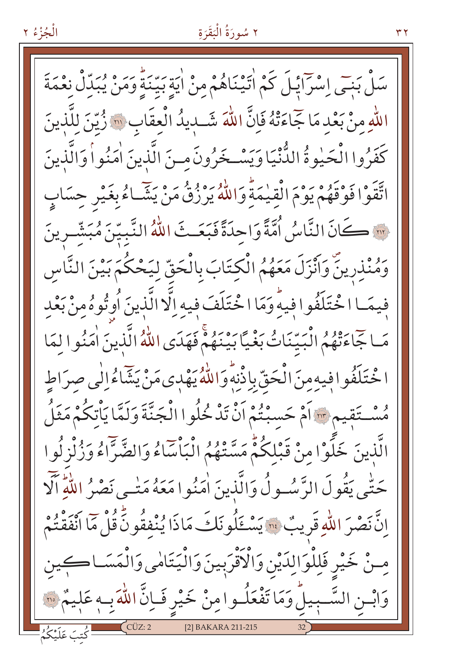۳۲

الْجُزْءُ ٢

سَلْ بَنِيَى اِسْرَايْلَ كَمْ اٰتَيْنَاهُمْ مِنْ اٰيَةِ بَيّنَةً وَمَنْ يُبَدِّلْ نِعْمَةَ اللهِ منْ بَعْد مَا جَاءَتْهُ فَإِنَّ اللَّهَ شَــدِيدُ الْعِقَابِ ۞ زُيّنَ لِلَّذِينَ كَفَرُوا الْحَيْوةُ الدُّنْيَا وَيَسْخَرُونَ منَ الَّذِينَ اٰمَنُواْ وَالَّذِينَ اتَّقَوْا فَوْقَهُمْ يَوْمَ الْقِيْمَةِ وَاللَّهُ يَرْزُقُ مَنْ يَشَّاءُ بِغَيْرِ حِسَابٍ ··· كَانَ النَّاسُ اُمَّةً وَاحِدَةً فَبَعَـتَ اللَّهُ النَّبيّنَ مُبَشِّـرينَ وَمُنْذِرِينَّ وَأَنْزَلَ مَعَهُمُ الْكِتَابَ بِالْحَقِّ لِيَحْكُمَ بَيْنَ النَّاسِ فيمَـا اخْتَلَفُوا فيهْ وَمَا اخْتَلَفَ فِيهِ اِلَّا الَّذِينَ أُوتُوهُ مِنْ بَعْدِ مَباحِجَاءَقْهُمُ الْبَيِّنَاتُ بَغْيًّا بَيْنَهُمْ فَهَدَى اللَّهُ الَّذِينَ اٰمَنُو اللَّهَا ا خْتَلَفُوافِيهِ مِنَ الْحَقِّ بِإِذْنِهِ وَاللَّهُ يَهْدِي مَنْ يَشَاءُالْمِي صرَاط هُسْتَقِيمٍ ۚ أَمْ حَسَبْتُمْ أَنْ تَدْخُلُوا الْجَنَّةَ وَلَمَّا يَأْتِكُمْ مَثَلُ الَّذِينَ خَلَوْا مِنْ قَبْلِكُمّْ مَسَّنْهُمُ الْبَاْسَاءُ وَالضَّرَّاءُ وَزُلْزِلُوا حَتّٰبِي يَقُولَ الرَّسُـولُ وَالَّذِينَ اٰمَنُوا مَعَهُ مَتْـي نَصْرُ اللَّهِ ٱلْآ انَّ نَصْرَ اللَّهِ قَرِيبٌ ۚ " يَسْتَلُو نَكَ مَاذَا يُنْفِقُونَ قُلْ مَا أَنْفَقْتُمْ مِنْ خَيْرِ فَلِلْوَالِدَيْنِ وَالْأَقْرَبِينَ وَالْيَتَامٰى وَالْمَسَـاكِين وَابْــنِ السَّــبِيلُ وَمَا تَفْعَلُــوامِنْ خَيْرِ فَــاِنَّ اللَّهَ بِــهِ عَلِيمٌ ۞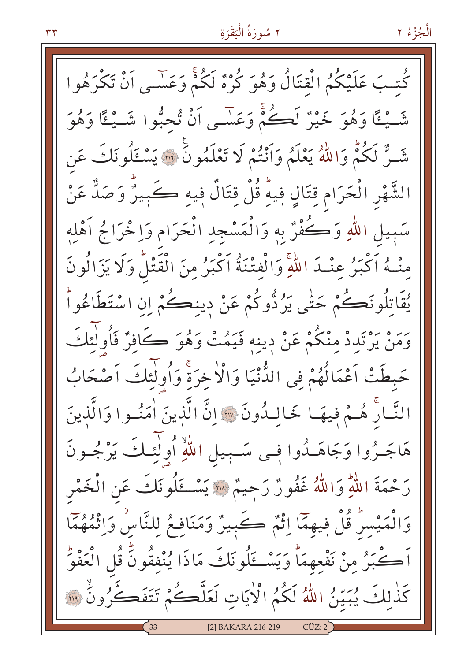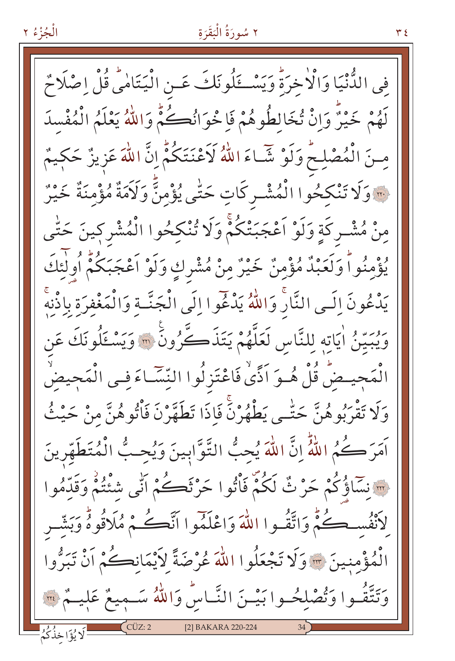الْجُزْءُ ٢ في الدُّّنْيَا وَالْأَخِرَةُ وَيَسْكَلُونَكَ عَـنِ الْيَتَامِيُّ قُلْ اِصْلَاحٌ لَهُمْ خَيْنٌ وَإِنْ تُخَالِطُوهُمْ فَإِخْوَانُكُمْ وَاللَّهُ يَعْلَمُ الْمُفْسِدَ مِنَ الْمُصْلِحُ وَلَوْ شَّاءَ اللَّهُ لَاَعْنَتَكُمْ إِنَّ اللَّهَ عَزِيزٌ حَكِيمٌ ... وَلَا تَنْكَحُوا الْمُشْـرِكَاتِ حَتَّى يُؤْمِنَّ وَلَاَمَةٌ مُؤْمِنَّةٌ خَيْرٌ مِنْ مُشْـرِكَةٍ وَلَوْ اَعْجَبَتْكُمْ وَلَا تُنْكِحُوا الْمُشْرِكِينَ حَتّٰى يُؤْمِنُواً وَلَعَبْدُ مُؤْمِنٌ خَيْرٌ مِنْ مُشْرِكٍ وَلَوْ اَعْجَبَكُمْ أُولٰئِكَ يَدْعُونَ إِلَـى النَّارُ وَاللَّهُ يَدْعُوا إِلَى الْجَنَّـة وَالْمَغْفرَة بِاذْنه وَيُبِيِّنُ اٰيَاتِهِ لِلنَّاسِ لَعَلَّهُمْ يَتَذَكَّرُونَ ۚ ﴾ وَيَسْتَلُونَكَ عَن الْمَحِيضُ قُلْ هُـوَ اَذًىٰ فَاعْتَزِلُوا النِّسَّاءَ فِـى الْمَجِيضِّ وَلَا تَقْرَبُوهُنَّ حَتَّـى يَطْهُرْنَّ فَإِذَا تَطَهَّرْنَ فَأْتُوهُنَّ مِنْ حَيْثُ آمَرَ كُمُ اللَّهُ إِنَّ اللَّهَ يُحِبُّ التَّوَّابِينَ وَيُحِبُّ الْمُتَطَهِّرِينَ ِ ۖ نَسَاؤُكُمْ حَنْ ثُ لَكُمْ فَأْتُوا حَرْثَكُمْ أَنِّي شُئْتُمْ وَقَدّْمُوا لأَنْفُسكُمْ وَاتَّقُـوا اللَّهَ وَاعْلَمُوا اَنَّكُمْ مُلَاقُوهُ وَبَشَّر الْمُؤْمِنِينَ ﴾ وَلَا تَجْعَلُوا اللَّهَ عُرْضَةً لاَيْمَانِكُمْ أَنْ تَبَرُّوا وَتَتَّقُّـوا وَتُصْلِحُـوا بَيْـنَ النَّـاسُ وَاللَّهُ سَـمِيعٌ عَلِيــمٌ ۞ [2] BAKARA 220-224 لَا يُؤَاخِذُكُمُ

 $Y \Sigma$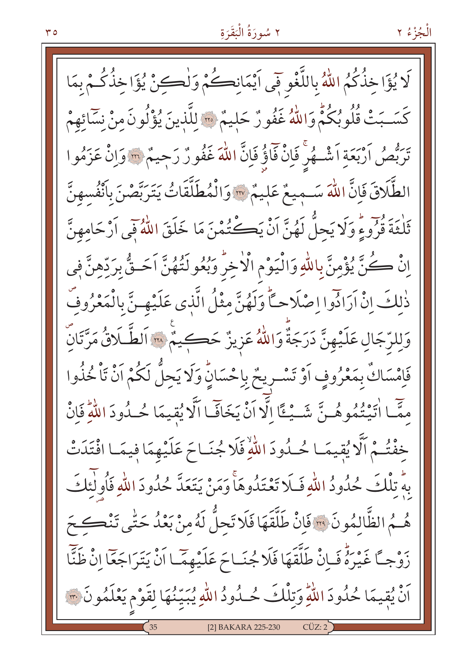الْجُزْءُ ٢

لَا يُؤَاخِذُكُمُ اللَّهُ بِاللَّغْوِ فَى اَيْمَانِكُمْ وَلْكِنْ يُؤَاخِذُكُمْ بِمَا كَسَـبَتْ قُلُوبُكُمُّ وَاللَّهُ غَفُورٌ حَلِيمٌ ۞ لِلَّذِينَ يُؤْلُونَ مِنْ نِسَائِهِمْ تَرَبُّصُ اَرْبَعَةِ اَشْــهُرِّ فَإِنّْ فَاؤُ فَإِنَّ اللَّهَ غَفُونٌ رَجِيمٌ ۞ وَإِنْ عَزَمُوا الطَّلَاقَ فَإِنَّ اللَّهَ سَـمِيعٌ عَلِيمٌ \* وَالْمُطَلَّقَاتُ يَتَرَبَّصْنَ بِأَنْفُسِهِنَّ ثَلْثَةَ قُرُوءٍ وَلَا يَجِلُّ لَهُنَّ اَنْ يَكْتُمْنَ مَا خَلَقَ اللَّهُ فِي اَرْحَامِهِنَّ اِنْ كُنَّ يُؤْمِنَّ بِاللّهِ وَالْيَوْمِ الْأَخِرُ وَبُعُو لَتُهُنَّ اَحَـقُّ بِرَدِّهِنَّ فِي ذٰلِكَ إِنْ اَرَادُوا اِصْلَاحِكًّا وَلَهُنَّ مِثْلُ الَّذِي عَلَيْهِ نَّ بِالْمَعْرُوفُ وَلِلرَّجَالِ عَلَيْهِنَّ دَرَجَةٌ وَاللَّهُ عَزِيزٌ حَڪِيمٌ ۞ اَلطَّـلَاقُ مَرَّتَانَّ فَإِمْسَاكٌ بِمَعْرُوفٍ أَوْ تَسْـرِيحٌ بِإِحْسَانٍّ وَلَا يَحِلُّ لَكُمْ أَنْ تَأْخُذُوا مِمَّا اٰتَيْتُمُوهُـنَّ شَـيْـئًا إِلَّا أَنْ يَخَافَـا الَّا يُقِيمَا حُـدُودَ اللّٰهِ فَانْ خفْتُـمْ اَلَّا يُقِيمَـا حُـدُودَ اللَّهِ فَلَا جُنَـاحَ عَلَيْهِمَا فِيمَـا افْتَدَتْ بِهِ تِلْكَ حُدُودُ اللّهِ فَـلَا تَعْتَدُوهَأَ وَمَنْ يَتَعَدَّ حُدُودَ اللّهِ فَأُولَٰٓئِكَ هُــمُ الظَّالمُونَ ۚ ۚ وَانْ طَلَّقَهَا فَلَا تَحلُّ لَهُ مِنْ بَعْدُ حَتّٰى تَنْكَـحَ زَوْجاً غَيْرَةٌ فَـاِنْ طَلَّقَهَا فَلَا جُنَـاحَ عَلَيْهِمَّـا اَنْ يَتَرَاجَعَا اِنْ ظَنَّا اَنْ يُقِيمَا حُدُودَ اللَّهِ وَتِلْكَ حُـدُودُ اللَّهِ يُبَيِّنُهَا لِقَوْمٍ يَعْلَمُونَ ۞ [2] BAKARA 225-230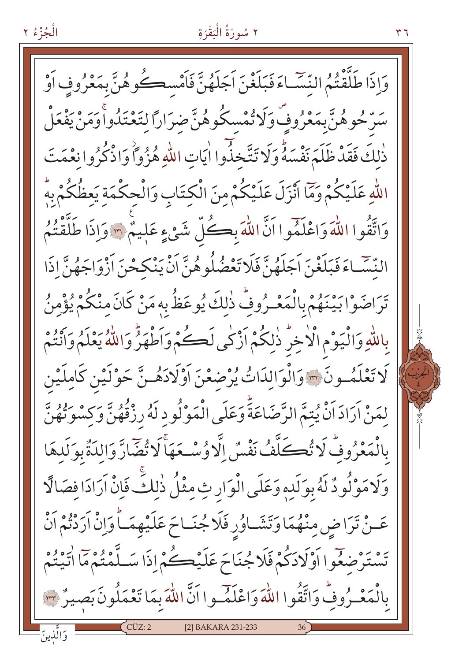وَاذَا طَلَّقْتُمُ النَّسَّـاءَ فَبَلَغْنَ اَجَلَهُنَّ فَاَمْسِكُوهُنَّ بِمَعْرُوفٍ اَوْ سَرّْحُوهُنَّ بِمَعْرُوفٌ وَلَا تُمْسِكُوهُنَّ ضِرَارًا لِتَعْتَدُواْ وَمَنْ يَفْعَلْ ذٰلكَ فَقَدْ ظَلَمَ نَفْسَهُّ وَلَا تَتَّخذُوا اٰيَاتِ اللّهِ هُزُواً وَاذْكُرُوا نِعْمَتَ اللّهِ عَلَيْكُمْ وَمَّا أَنْزَلَ عَلَيْكُمْ مِنَ الْكِتَابِ وَالْحِكْمَةِ يَعظُكُمْ بِهِ وَاتَّقُوا اللَّهَ وَاعْلَمُوا اَنَّ اللَّهَ بِكُلِّ شَيْءٍ عَلِيمٌ ۞ وَإِذَا طَلَّقْتُمُ النَّسَّـاءَ فَبَلَغْنَ اَجَلَهُنَّ فَلَا تَعْضُلُوهُنَّ اَنْ يَنْكَحْنَ اَزْوَاجَهُنَّ إِذَا تَرَاضَوْا بَيْنَهُمْ بِالْمَعْـرُوفِّ ذٰلِكَ يُوعَظُّ بِهِ مَنْ كَانَ مِنْكُمْ يُؤْمِنُ بِاللَّهِ وَالْيَوْمِ الْأَخِرِّ ذٰلِكُمْ أَزْكَى لَكُمْ وَأَطْهَرُّ وَاللَّهُ يَعْلَمُ وَأَنْتُمْ كَا تَعْلَمُــونَ ۞ وَالْوَالدَاتُ يُرْضِعْنَ اَوْلَادَهُــنَّ حَوْلَيْنِ كَاملَيْنِ لِمَنْ أَرَادَ أَنْ يُتِمَّ الرَّضَاعَةَّ وَعَلَى الْمَوْلُودِ لَهُ رِزْقُهُنَّ وَكِسْوَتُهُنَّ بِالْمَعْرُوفُ لَا تُكَلَّفُ نَفْسٌ إِلَّا وُسْـعَهَا لَا تُضَارَّ وَالدَةٌ بِوَلَدهَا وَلَامَوْلُودٌ لَهُ بِوَلَدِهِ وَعَلَى الْوَارِثِ مِثْلُ ذٰلِكَ فَإِنْ اَرَادَا فَصَالًا عَـنْ تَرَاضِ مِنْهُمَا وَتَشَـاوُرِ فَلَا جُنَـاحَ عَلَيْهِمَـاً وَإِنْ آرَدْتُمْ اَنْ تَسْتَرْضِعُوا أَوْلَادَكُمْ فَلَا جُنَاحَ عَلَيْڪُمْ إِذَا سَلَّمْتُمْ مَا اتَّيْتُمْ بِالْمَعْـرُوفُ وَاتَّقُوا اللَّهَ وَاعْلَمُـوا اَنَّ اللَّهَ بِمَا تَعْمَلُونَ بَصِيرٌ ٣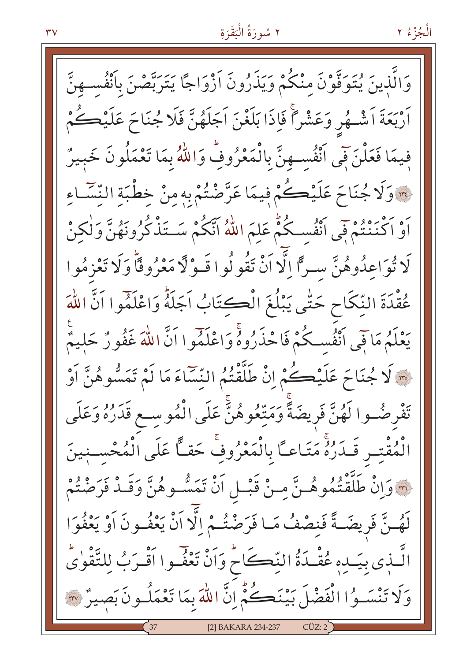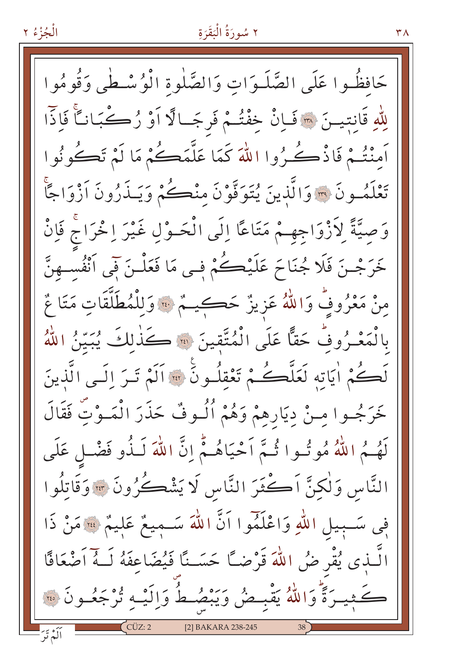حَافظُوا عَلَى الصَّلَـوَاتِ وَالصَّلٰوةِ الْوُسْـطٰي وَقُومُوا لِلَّهِ قَانِتِينَ ۞ فَإِنْ خِفْتُمْ فَرِجَالًا أَوْ رُكْبَانَاً فَإِنَّا اَمنْتُمْ فَاذْكُرُوا اللَّهَ كَمَا عَلَّمَكُمْ مَا لَمْ تَكُونُوا تَعْلَمُـونَ ۞ وَالَّذِينَ يُتَوَفَّوْنَ منْڪُمْ وَيَـذَرُونَ اَزْوَاجًا وَصِيَّةً لِأَزْوَاجِهِمْ مَتَاعًا إِلَى الْحَـوْلِ غَيْرَ إِخْرَاجْ فَإِنْ خَرَجْـنَ فَلَا جُنَاحَ عَلَيْڪُمْ فِـي مَا فَعَلْـنَ فَي اَنْفُسـهنَّ مِنْ مَعْرُوفٌ وَاللَّهُ عَزِيزٌ حَكِيمٌ ۞ وَلِلْمُطَلَّقَاتِ مَتَا عٌ بِالْمَعْـرُوفُ حَقًّا عَلَى الْمُتَّقِينَ ۞ كَذٰلِكَ يُبَيِّنُ اللَّهُ لَكُمْ أَيَاتِهِ لَعَلَّكُمْ تَعْقِلُونَ ۞ أَلَمْ تَبَرَ إِلَي الَّذِينَ خَرَجُـوا مِـنْ دِيَارِهِمْ وَهُمْ ٱلُـوفٌ حَذَرَ الْمَـوْتِ فَقَالَ لَهُمُ اللَّهُ مُوتُـوا تُـمَّ اَحْيَاهُـمُّ إِنَّ اللَّهَ لَـذُو فَضْـلٍ عَلَى النَّاسِ وَلٰكِنَّ اَكْثَرَ النَّاسِ لَا يَشْكُرُونَ ۞ وَقَاتِلُوا فِي سَبِيلِ اللَّهِ وَاعْلَمُوا أَنَّ اللهَ سَـمِيعٌ عَلِيمٌ \* مَنْ ذَا الَّــٰذِي يُقْرِ ضُ اللَّهَ قَرْضـًا حَسَــنًا فَيُضَاعِفَهُ لَــهُ اَصْعَافًا كَثِيرَةً وَاللَّهُ يَقْبِحْنُ وَيَبْصُطُ وَالِّيْهِ يُرْجَعُونَ ۞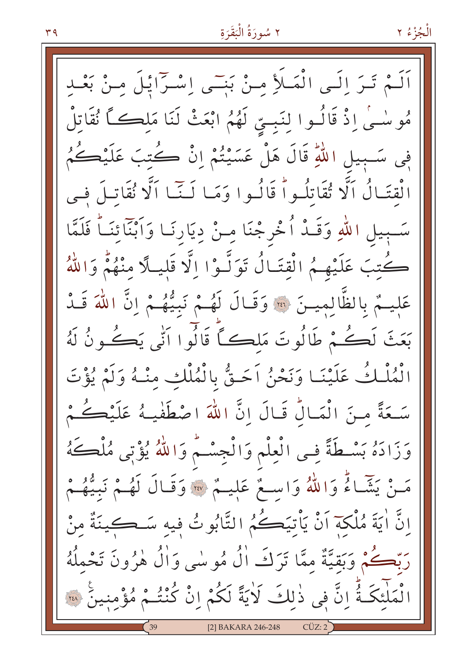٢ سُورَةُ الْبَقَرَةِ

اَلَـمْ تَـرَ اِلَـى الْمَـلَأِ مِـنْ بَنِـَى اِسْـرَائِـلَ مِـنْ بَعْـدِ مُوسْــىٰ اِذْ قَالُــوا لِنَبِــتِي لَهُمُ ابْعَثْ لَنَا مَلِڪــَّــا نُقَاتِلُ فِي سَـبِيلِ اللَّهِ قَالَ هَلْ عَسَيْتُمْ إِنْ كُتِبَ عَلَيْكُمُ الْقتَالُ اَلَّا تُقَاتِلُواْ قَالُوا وَمَا لَـنَّـا اَلَّا نُقَاتِلَ فِي سَـبِيلِ اللهِ وَقَـدْ أُخْرِجْنَا مِـنْ دِيَارِنَـا وَاَبْنَائِنَـاً فَلَمَّا كُتِبَ عَلَيْهِمُ الْقِتَالُ تَوَلَّـوْا الَّا قَلِيلًا مِنْهُمْ وَاللّهُ عَلِيهُمْ بِالظَّالِمِيسَ \*\* وَقَالَ لَهُمْ نَبِيُّهُمْ إِنَّ اللَّهَ قَـدُ بَعَثَ لَكُمْ طَالُوتَ مَلڪاً قَالُوا اَنِّي يَڪُونُ لَهُ الْمُلْكُ عَلَيْنَـا وَنَحْنُ اَحَـقُّ بِالْمُلْكِ مِنْـهُ وَلَمْ يُؤْتَ سَعَةً مِنَ الْمَالِّ قَالَ إِنَّ اللَّهَ اصْطَفْيهُ عَلَيْكُمْ. وَزَادَهُ بَسْطَةً فِي الْعِلْمِ وَالْجِسْمُ وَاللَّهُ يُؤْتِي مُلْكَهُ مَـنْ يَثَمَّـاءُ وَاللّهُ وَاسِـعٌ عَلِيـمٌ ۞ وَقَـالَ لَهُـمْ نَبِيُّهُـمْ انَّ اٰ يَةَ مُلْكَةَ اَنْ يَأْتِيَكُمُ التَّابُوتُ فِيهِ سَـڪِينَةٌ مِنْ رَبَّكُمْ وَبَقيَّةٌ ممَّا تَرَكَ الْ مُوسٰى وَالْ هٰرُونَ تَحْمِلُهُ لْمَلْئَكَـةُ إِنَّ فِي ذٰلِكَ لَايَةً لَكُمْ إِنْ كُنْتُـمْ مُؤْمِنِينَ \* [2] BAKARA 246-248